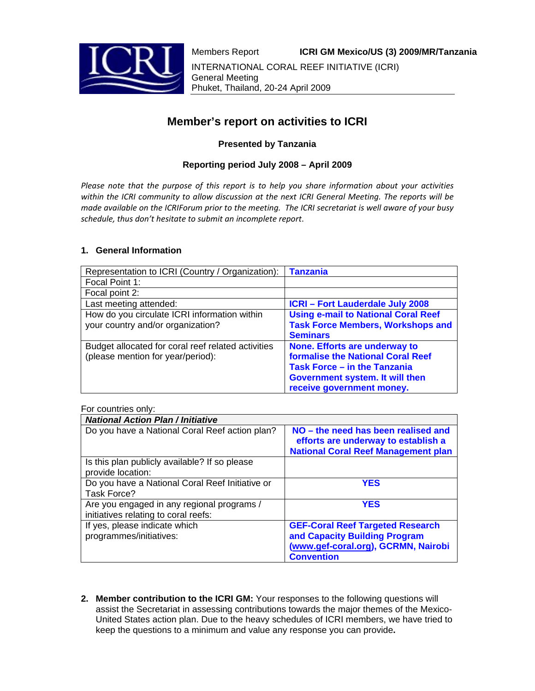

# **Member's report on activities to ICRI**

# **Presented by Tanzania**

## **Reporting period July 2008 – April 2009**

*Please note that the purpose of this report is to help you share information about your activities within the ICRI community to allow discussion at the next ICRI General Meeting. The reports will be* made available on the ICRIForum prior to the meeting. The ICRI secretariat is well aware of your busy *schedule, thus don't hesitate to submit an incomplete report*.

### **1. General Information**

| Representation to ICRI (Country / Organization):                                        | <b>Tanzania</b>                                                                                                                                                                  |
|-----------------------------------------------------------------------------------------|----------------------------------------------------------------------------------------------------------------------------------------------------------------------------------|
| Focal Point 1:                                                                          |                                                                                                                                                                                  |
| Focal point 2:                                                                          |                                                                                                                                                                                  |
| Last meeting attended:                                                                  | <b>ICRI-Fort Lauderdale July 2008</b>                                                                                                                                            |
| How do you circulate ICRI information within<br>your country and/or organization?       | <b>Using e-mail to National Coral Reef</b><br><b>Task Force Members, Workshops and</b><br><b>Seminars</b>                                                                        |
| Budget allocated for coral reef related activities<br>(please mention for year/period): | None. Efforts are underway to<br><b>formalise the National Coral Reef</b><br><b>Task Force – in the Tanzania</b><br>Government system. It will then<br>receive government money. |

#### For countries only:

| <b>National Action Plan / Initiative</b>                                           |                                                                                                                          |
|------------------------------------------------------------------------------------|--------------------------------------------------------------------------------------------------------------------------|
| Do you have a National Coral Reef action plan?                                     | NO – the need has been realised and<br>efforts are underway to establish a<br><b>National Coral Reef Management plan</b> |
| Is this plan publicly available? If so please<br>provide location:                 |                                                                                                                          |
| Do you have a National Coral Reef Initiative or<br>Task Force?                     | <b>YES</b>                                                                                                               |
| Are you engaged in any regional programs /<br>initiatives relating to coral reefs: | <b>YES</b>                                                                                                               |
| If yes, please indicate which                                                      | <b>GEF-Coral Reef Targeted Research</b>                                                                                  |
| programmes/initiatives:                                                            | and Capacity Building Program<br>(www.gef-coral.org), GCRMN, Nairobi<br><b>Convention</b>                                |

**2. Member contribution to the ICRI GM:** Your responses to the following questions will assist the Secretariat in assessing contributions towards the major themes of the Mexico-United States action plan. Due to the heavy schedules of ICRI members, we have tried to keep the questions to a minimum and value any response you can provide**.**